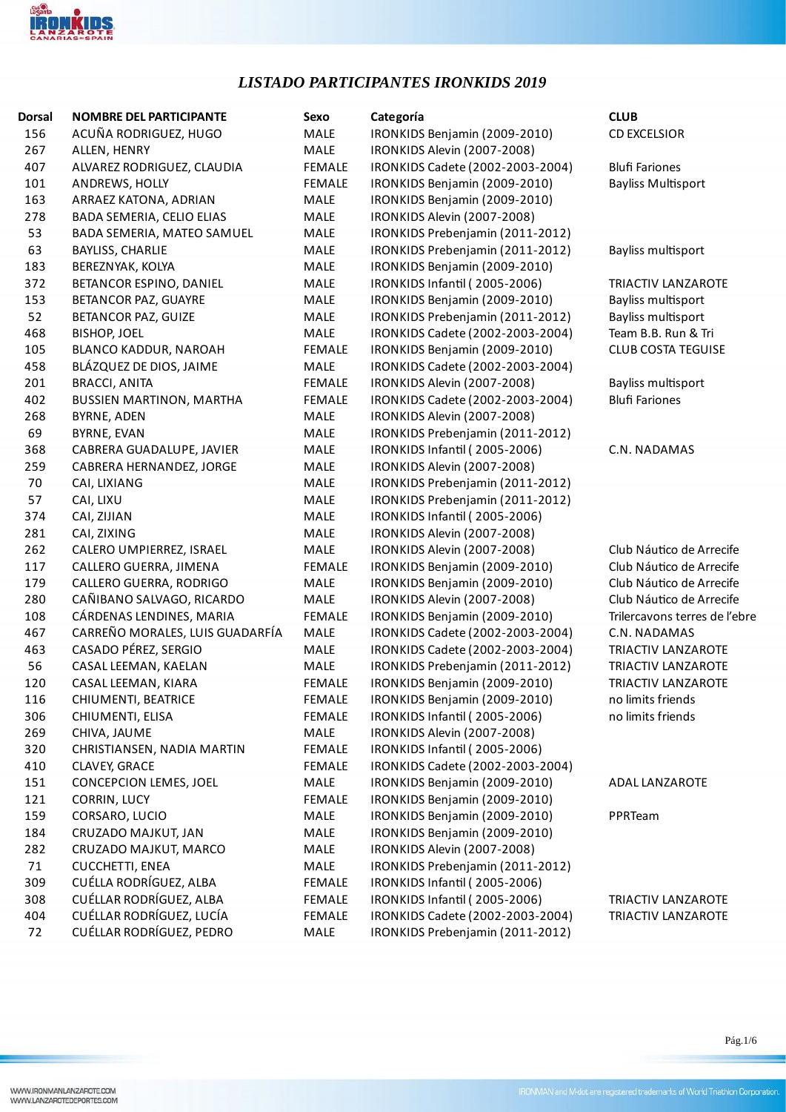

## *LISTADO PARTICIPANTES IRONKIDS 2019*

| Dorsal | <b>NOMBRE DEL PARTICIPANTE</b>  | Sexo          | Categoría                        | <b>CLUB</b>                   |
|--------|---------------------------------|---------------|----------------------------------|-------------------------------|
| 156    | ACUÑA RODRIGUEZ, HUGO           | MALE          | IRONKIDS Benjamin (2009-2010)    | <b>CD EXCELSIOR</b>           |
| 267    | ALLEN, HENRY                    | MALE          | IRONKIDS Alevin (2007-2008)      |                               |
| 407    | ALVAREZ RODRIGUEZ, CLAUDIA      | <b>FEMALE</b> | IRONKIDS Cadete (2002-2003-2004) | <b>Blufi Fariones</b>         |
| 101    | ANDREWS, HOLLY                  | FEMALE        | IRONKIDS Benjamin (2009-2010)    | <b>Bayliss Multisport</b>     |
| 163    | ARRAEZ KATONA, ADRIAN           | MALE          | IRONKIDS Benjamin (2009-2010)    |                               |
| 278    | BADA SEMERIA, CELIO ELIAS       | MALE          | IRONKIDS Alevin (2007-2008)      |                               |
| 53     | BADA SEMERIA, MATEO SAMUEL      | MALE          | IRONKIDS Prebenjamin (2011-2012) |                               |
| 63     | <b>BAYLISS, CHARLIE</b>         | MALE          | IRONKIDS Prebenjamin (2011-2012) | Bayliss multisport            |
| 183    | BEREZNYAK, KOLYA                | MALE          | IRONKIDS Benjamin (2009-2010)    |                               |
| 372    | BETANCOR ESPINO, DANIEL         | MALE          | IRONKIDS Infantil (2005-2006)    | TRIACTIV LANZAROTE            |
| 153    | BETANCOR PAZ, GUAYRE            | MALE          | IRONKIDS Benjamin (2009-2010)    | Bayliss multisport            |
| 52     | BETANCOR PAZ, GUIZE             | MALE          | IRONKIDS Prebenjamin (2011-2012) | Bayliss multisport            |
| 468    | <b>BISHOP, JOEL</b>             | MALE          | IRONKIDS Cadete (2002-2003-2004) | Team B.B. Run & Tri           |
| 105    | BLANCO KADDUR, NAROAH           | FEMALE        | IRONKIDS Benjamin (2009-2010)    | <b>CLUB COSTA TEGUISE</b>     |
| 458    | BLÁZQUEZ DE DIOS, JAIME         | MALE          | IRONKIDS Cadete (2002-2003-2004) |                               |
| 201    | <b>BRACCI, ANITA</b>            | <b>FEMALE</b> | IRONKIDS Alevin (2007-2008)      | Bayliss multisport            |
| 402    | <b>BUSSIEN MARTINON, MARTHA</b> | <b>FEMALE</b> | IRONKIDS Cadete (2002-2003-2004) | <b>Blufi Fariones</b>         |
| 268    | <b>BYRNE, ADEN</b>              | MALE          | IRONKIDS Alevin (2007-2008)      |                               |
| 69     | BYRNE, EVAN                     | MALE          | IRONKIDS Prebenjamin (2011-2012) |                               |
| 368    | CABRERA GUADALUPE, JAVIER       | MALE          | IRONKIDS Infantil (2005-2006)    | C.N. NADAMAS                  |
| 259    | CABRERA HERNANDEZ, JORGE        | MALE          | IRONKIDS Alevin (2007-2008)      |                               |
| 70     | CAI, LIXIANG                    | MALE          | IRONKIDS Prebenjamin (2011-2012) |                               |
| 57     | CAI, LIXU                       | MALE          | IRONKIDS Prebenjamin (2011-2012) |                               |
| 374    | CAI, ZIJIAN                     | MALE          | IRONKIDS Infantil (2005-2006)    |                               |
| 281    | CAI, ZIXING                     | MALE          | IRONKIDS Alevin (2007-2008)      |                               |
| 262    | CALERO UMPIERREZ, ISRAEL        | MALE          | IRONKIDS Alevin (2007-2008)      | Club Náutico de Arrecife      |
| 117    | CALLERO GUERRA, JIMENA          | <b>FEMALE</b> | IRONKIDS Benjamin (2009-2010)    | Club Náutico de Arrecife      |
| 179    | CALLERO GUERRA, RODRIGO         | MALE          | IRONKIDS Benjamin (2009-2010)    | Club Náutico de Arrecife      |
| 280    | CAÑIBANO SALVAGO, RICARDO       | MALE          | IRONKIDS Alevin (2007-2008)      | Club Náutico de Arrecife      |
| 108    | CÁRDENAS LENDINES, MARIA        | FEMALE        | IRONKIDS Benjamin (2009-2010)    | Trilercavons terres de l'ebre |
| 467    | CARREÑO MORALES, LUIS GUADARFÍA | MALE          | IRONKIDS Cadete (2002-2003-2004) | C.N. NADAMAS                  |
| 463    | CASADO PÉREZ, SERGIO            | MALE          | IRONKIDS Cadete (2002-2003-2004) | TRIACTIV LANZAROTE            |
| 56     | CASAL LEEMAN, KAELAN            | MALE          | IRONKIDS Prebenjamin (2011-2012) | TRIACTIV LANZAROTE            |
| 120    | CASAL LEEMAN, KIARA             | <b>FEMALE</b> | IRONKIDS Benjamin (2009-2010)    | TRIACTIV LANZAROTE            |
| 116    | CHIUMENTI, BEATRICE             | <b>FEMALE</b> | IRONKIDS Benjamin (2009-2010)    | no limits friends             |
| 306    | CHIUMENTI, ELISA                | <b>FEMALE</b> | IRONKIDS Infantil (2005-2006)    | no limits friends             |
| 269    | CHIVA, JAUME                    | MALE          | IRONKIDS Alevin (2007-2008)      |                               |
| 320    | CHRISTIANSEN, NADIA MARTIN      | <b>FEMALE</b> | IRONKIDS Infantil (2005-2006)    |                               |
| 410    | CLAVEY, GRACE                   | <b>FEMALE</b> | IRONKIDS Cadete (2002-2003-2004) |                               |
| 151    | CONCEPCION LEMES, JOEL          | MALE          | IRONKIDS Benjamin (2009-2010)    | ADAL LANZAROTE                |
| 121    | CORRIN, LUCY                    | <b>FEMALE</b> | IRONKIDS Benjamin (2009-2010)    |                               |
| 159    | CORSARO, LUCIO                  | MALE          | IRONKIDS Benjamin (2009-2010)    | PPRTeam                       |
| 184    | CRUZADO MAJKUT, JAN             | MALE          | IRONKIDS Benjamin (2009-2010)    |                               |
| 282    | CRUZADO MAJKUT, MARCO           | MALE          | IRONKIDS Alevin (2007-2008)      |                               |
| 71     | CUCCHETTI, ENEA                 | MALE          | IRONKIDS Prebenjamin (2011-2012) |                               |
| 309    | CUÉLLA RODRÍGUEZ, ALBA          | <b>FEMALE</b> | IRONKIDS Infantil (2005-2006)    |                               |
| 308    | CUÉLLAR RODRÍGUEZ, ALBA         | <b>FEMALE</b> | IRONKIDS Infantil (2005-2006)    | TRIACTIV LANZAROTE            |
| 404    | CUÉLLAR RODRÍGUEZ, LUCÍA        | FEMALE        | IRONKIDS Cadete (2002-2003-2004) | TRIACTIV LANZAROTE            |
| 72     | CUÉLLAR RODRÍGUEZ, PEDRO        | MALE          | IRONKIDS Prebenjamin (2011-2012) |                               |

Pág.1/6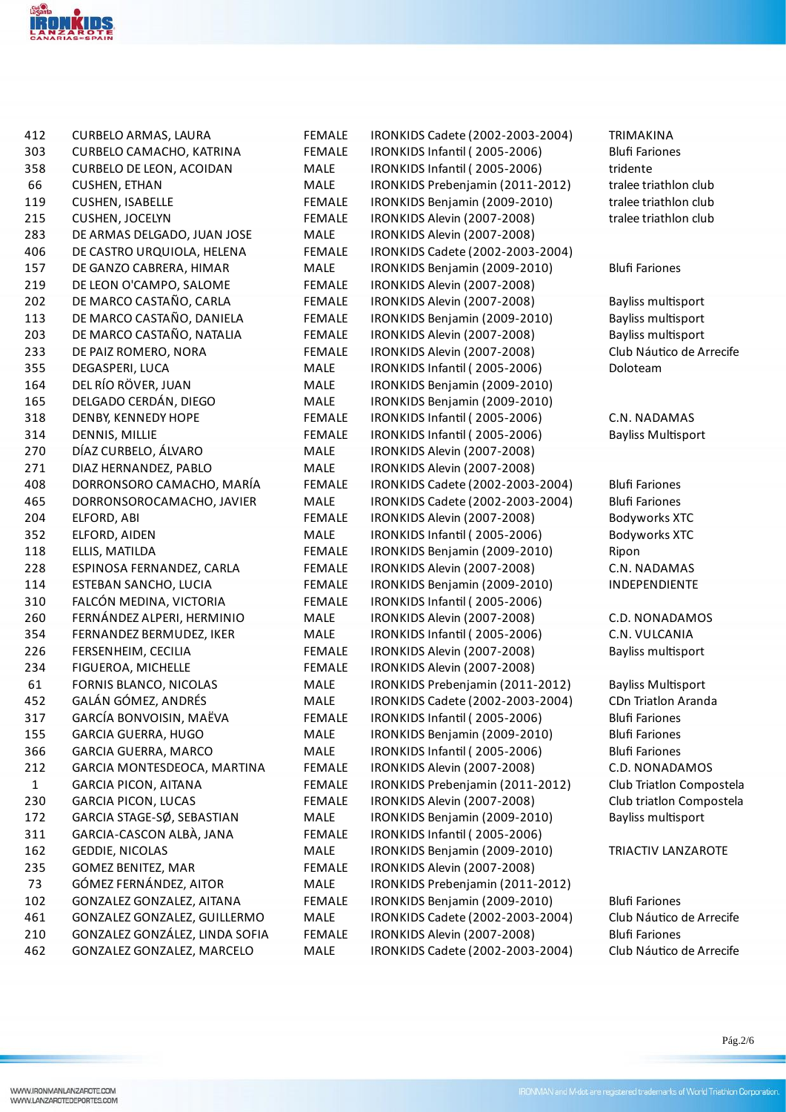

| 412          | <b>CURBELO ARMAS, LAURA</b>     | <b>FEMALE</b> | IRONKIDS Cadete (2002-2003-2004)                                     | <b>TRIMAKINA</b>           |
|--------------|---------------------------------|---------------|----------------------------------------------------------------------|----------------------------|
| 303          | CURBELO CAMACHO, KATRINA        | <b>FEMALE</b> | IRONKIDS Infantil (2005-2006)                                        | <b>Blufi Fariones</b>      |
| 358          | <b>CURBELO DE LEON, ACOIDAN</b> | MALE          | IRONKIDS Infantil (2005-2006)                                        | tridente                   |
| 66           | <b>CUSHEN, ETHAN</b>            | MALE          | IRONKIDS Prebenjamin (2011-2012)                                     | tralee triathlon club      |
| 119          | <b>CUSHEN, ISABELLE</b>         | <b>FEMALE</b> | IRONKIDS Benjamin (2009-2010)                                        | tralee triathlon club      |
| 215          | <b>CUSHEN, JOCELYN</b>          | <b>FEMALE</b> | IRONKIDS Alevin (2007-2008)                                          | tralee triathlon club      |
| 283          | DE ARMAS DELGADO, JUAN JOSE     | MALE          | IRONKIDS Alevin (2007-2008)                                          |                            |
| 406          | DE CASTRO URQUIOLA, HELENA      | <b>FEMALE</b> | IRONKIDS Cadete (2002-2003-2004)                                     |                            |
| 157          | DE GANZO CABRERA, HIMAR         | MALE          | IRONKIDS Benjamin (2009-2010)                                        | <b>Blufi Fariones</b>      |
| 219          | DE LEON O'CAMPO, SALOME         | <b>FEMALE</b> | IRONKIDS Alevin (2007-2008)                                          |                            |
| 202          | DE MARCO CASTAÑO, CARLA         | <b>FEMALE</b> | IRONKIDS Alevin (2007-2008)                                          | Bayliss multisport         |
| 113          | DE MARCO CASTAÑO, DANIELA       | <b>FEMALE</b> | IRONKIDS Benjamin (2009-2010)                                        | Bayliss multisport         |
| 203          | DE MARCO CASTAÑO, NATALIA       | <b>FEMALE</b> | IRONKIDS Alevin (2007-2008)                                          | Bayliss multisport         |
| 233          | DE PAIZ ROMERO, NORA            | <b>FEMALE</b> | IRONKIDS Alevin (2007-2008)                                          | Club Náutico de Arrecife   |
| 355          | DEGASPERI, LUCA                 | MALE          | IRONKIDS Infantil (2005-2006)                                        | Doloteam                   |
| 164          | DEL RÍO RÖVER, JUAN             | MALE          | IRONKIDS Benjamin (2009-2010)                                        |                            |
| 165          | DELGADO CERDÁN, DIEGO           | MALE          | IRONKIDS Benjamin (2009-2010)                                        |                            |
| 318          | DENBY, KENNEDY HOPE             | <b>FEMALE</b> | IRONKIDS Infantil (2005-2006)                                        | C.N. NADAMAS               |
| 314          | DENNIS, MILLIE                  | <b>FEMALE</b> | IRONKIDS Infantil (2005-2006)                                        | <b>Bayliss Multisport</b>  |
| 270          | DÍAZ CURBELO, ÁLVARO            | MALE          | IRONKIDS Alevin (2007-2008)                                          |                            |
| 271          | DIAZ HERNANDEZ, PABLO           | MALE          | IRONKIDS Alevin (2007-2008)                                          |                            |
| 408          | DORRONSORO CAMACHO, MARÍA       | <b>FEMALE</b> | IRONKIDS Cadete (2002-2003-2004)                                     | <b>Blufi Fariones</b>      |
| 465          | DORRONSOROCAMACHO, JAVIER       | MALE          | IRONKIDS Cadete (2002-2003-2004)                                     | <b>Blufi Fariones</b>      |
| 204          | ELFORD, ABI                     | <b>FEMALE</b> | IRONKIDS Alevin (2007-2008)                                          | <b>Bodyworks XTC</b>       |
| 352          | ELFORD, AIDEN                   | MALE          | IRONKIDS Infantil (2005-2006)                                        | <b>Bodyworks XTC</b>       |
| 118          | ELLIS, MATILDA                  | <b>FEMALE</b> | IRONKIDS Benjamin (2009-2010)                                        | Ripon                      |
| 228          | ESPINOSA FERNANDEZ, CARLA       | <b>FEMALE</b> | IRONKIDS Alevin (2007-2008)                                          | C.N. NADAMAS               |
| 114          | ESTEBAN SANCHO, LUCIA           | <b>FEMALE</b> | IRONKIDS Benjamin (2009-2010)                                        | INDEPENDIENTE              |
| 310          | FALCÓN MEDINA, VICTORIA         | <b>FEMALE</b> | IRONKIDS Infantil (2005-2006)                                        |                            |
| 260          | FERNÁNDEZ ALPERI, HERMINIO      | MALE          | IRONKIDS Alevin (2007-2008)                                          | C.D. NONADAMOS             |
| 354          | FERNANDEZ BERMUDEZ, IKER        | MALE          | IRONKIDS Infantil (2005-2006)                                        | C.N. VULCANIA              |
| 226          | FERSENHEIM, CECILIA             | <b>FEMALE</b> | IRONKIDS Alevin (2007-2008)                                          | Bayliss multisport         |
| 234          | FIGUEROA, MICHELLE              | <b>FEMALE</b> | IRONKIDS Alevin (2007-2008)                                          |                            |
| 61           | FORNIS BLANCO, NICOLAS          | MALE          |                                                                      | <b>Bayliss Multisport</b>  |
| 452          | GALÁN GÓMEZ, ANDRÉS             | MALE          | IRONKIDS Prebenjamin (2011-2012)<br>IRONKIDS Cadete (2002-2003-2004) | <b>CDn Triatlon Aranda</b> |
|              |                                 | <b>FEMALE</b> |                                                                      | <b>Blufi Fariones</b>      |
| 317          | GARCÍA BONVOISIN, MAËVA         |               | IRONKIDS Infantil (2005-2006)                                        |                            |
| 155          | <b>GARCIA GUERRA, HUGO</b>      | MALE          | IRONKIDS Benjamin (2009-2010)                                        | <b>Blufi Fariones</b>      |
| 366          | <b>GARCIA GUERRA, MARCO</b>     | MALE          | IRONKIDS Infantil (2005-2006)                                        | <b>Blufi Fariones</b>      |
| 212          | GARCIA MONTESDEOCA, MARTINA     | <b>FEMALE</b> | IRONKIDS Alevin (2007-2008)                                          | C.D. NONADAMOS             |
| $\mathbf{1}$ | <b>GARCIA PICON, AITANA</b>     | <b>FEMALE</b> | IRONKIDS Prebenjamin (2011-2012)                                     | Club Triatlon Compostela   |
| 230          | <b>GARCIA PICON, LUCAS</b>      | <b>FEMALE</b> | IRONKIDS Alevin (2007-2008)                                          | Club triatlon Compostela   |
| 172          | GARCIA STAGE-SØ, SEBASTIAN      | MALE          | IRONKIDS Benjamin (2009-2010)                                        | Bayliss multisport         |
| 311          | GARCIA-CASCON ALBÀ, JANA        | <b>FEMALE</b> | IRONKIDS Infantil (2005-2006)                                        |                            |
| 162          | GEDDIE, NICOLAS                 | MALE          | IRONKIDS Benjamin (2009-2010)                                        | TRIACTIV LANZAROTE         |
| 235          | <b>GOMEZ BENITEZ, MAR</b>       | <b>FEMALE</b> | IRONKIDS Alevin (2007-2008)                                          |                            |
| 73           | GÓMEZ FERNÁNDEZ, AITOR          | MALE          | IRONKIDS Prebenjamin (2011-2012)                                     |                            |
| 102          | GONZALEZ GONZALEZ, AITANA       | <b>FEMALE</b> | IRONKIDS Benjamin (2009-2010)                                        | <b>Blufi Fariones</b>      |
| 461          | GONZALEZ GONZALEZ, GUILLERMO    | MALE          | IRONKIDS Cadete (2002-2003-2004)                                     | Club Náutico de Arrecife   |
| 210          | GONZALEZ GONZÁLEZ, LINDA SOFIA  | <b>FEMALE</b> | IRONKIDS Alevin (2007-2008)                                          | <b>Blufi Fariones</b>      |
| 462          | GONZALEZ GONZALEZ, MARCELO      | MALE          | IRONKIDS Cadete (2002-2003-2004)                                     | Club Náutico de Arrecife   |

Pág.2/6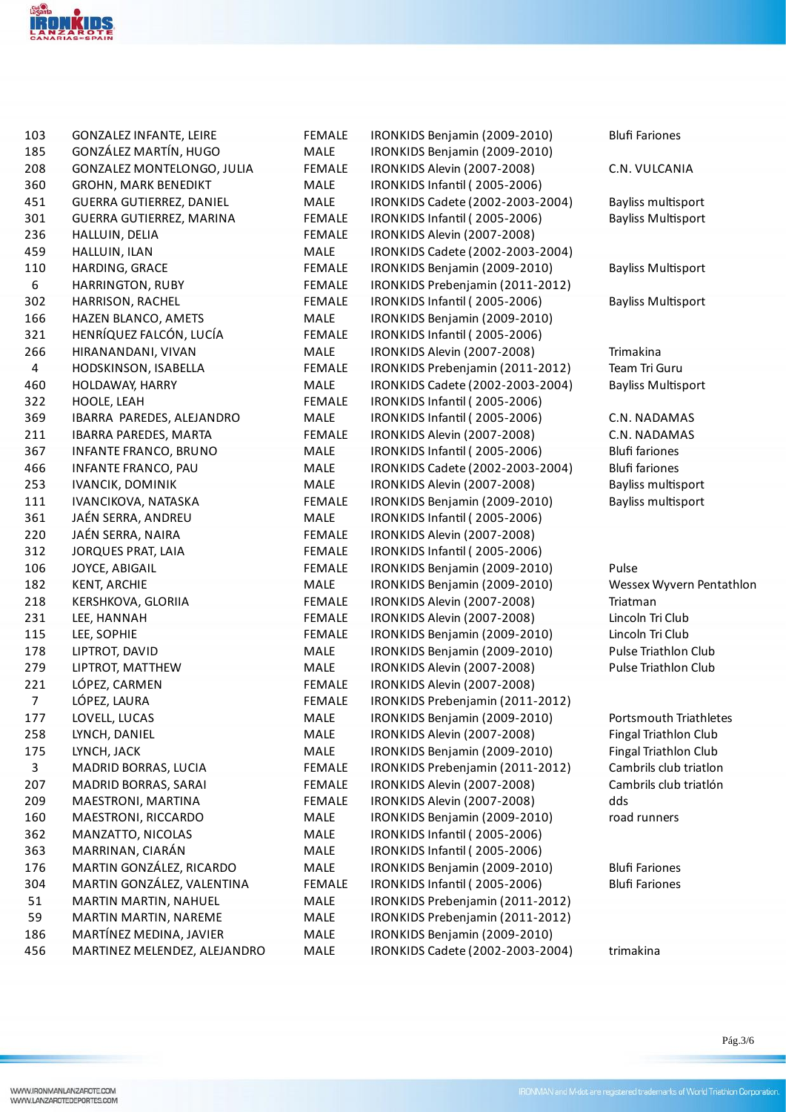

| 103<br>185     | <b>GONZALEZ INFANTE, LEIRE</b><br>GONZÁLEZ MARTÍN, HUGO        | <b>FEMALE</b><br>MALE | IRONKIDS Benjamin (2009-2010)                                | <b>Blufi Fariones</b>       |
|----------------|----------------------------------------------------------------|-----------------------|--------------------------------------------------------------|-----------------------------|
| 208            | GONZALEZ MONTELONGO, JULIA                                     |                       | IRONKIDS Benjamin (2009-2010)<br>IRONKIDS Alevin (2007-2008) | C.N. VULCANIA               |
| 360            |                                                                | <b>FEMALE</b>         |                                                              |                             |
|                | <b>GROHN, MARK BENEDIKT</b><br><b>GUERRA GUTIERREZ, DANIEL</b> | MALE                  | IRONKIDS Infantil (2005-2006)                                |                             |
| 451            |                                                                | MALE                  | IRONKIDS Cadete (2002-2003-2004)                             | Bayliss multisport          |
| 301            | GUERRA GUTIERREZ, MARINA                                       | <b>FEMALE</b>         | IRONKIDS Infantil (2005-2006)                                | <b>Bayliss Multisport</b>   |
| 236            | HALLUIN, DELIA                                                 | <b>FEMALE</b>         | IRONKIDS Alevin (2007-2008)                                  |                             |
| 459            | HALLUIN, ILAN                                                  | MALE                  | IRONKIDS Cadete (2002-2003-2004)                             |                             |
| 110            | HARDING, GRACE                                                 | <b>FEMALE</b>         | IRONKIDS Benjamin (2009-2010)                                | <b>Bayliss Multisport</b>   |
| 6              | HARRINGTON, RUBY                                               | <b>FEMALE</b>         | IRONKIDS Prebenjamin (2011-2012)                             |                             |
| 302            | HARRISON, RACHEL                                               | <b>FEMALE</b>         | IRONKIDS Infantil (2005-2006)                                | <b>Bayliss Multisport</b>   |
| 166            | HAZEN BLANCO, AMETS                                            | MALE                  | IRONKIDS Benjamin (2009-2010)                                |                             |
| 321            | HENRÍQUEZ FALCÓN, LUCÍA                                        | <b>FEMALE</b>         | IRONKIDS Infantil (2005-2006)                                |                             |
| 266            | HIRANANDANI, VIVAN                                             | MALE                  | IRONKIDS Alevin (2007-2008)                                  | Trimakina                   |
| $\overline{4}$ | HODSKINSON, ISABELLA                                           | <b>FEMALE</b>         | IRONKIDS Prebenjamin (2011-2012)                             | Team Tri Guru               |
| 460            | HOLDAWAY, HARRY                                                | MALE                  | IRONKIDS Cadete (2002-2003-2004)                             | <b>Bayliss Multisport</b>   |
| 322            | HOOLE, LEAH                                                    | <b>FEMALE</b>         | IRONKIDS Infantil (2005-2006)                                |                             |
| 369            | IBARRA PAREDES, ALEJANDRO                                      | MALE                  | IRONKIDS Infantil (2005-2006)                                | C.N. NADAMAS                |
| 211            | IBARRA PAREDES, MARTA                                          | <b>FEMALE</b>         | IRONKIDS Alevin (2007-2008)                                  | C.N. NADAMAS                |
| 367            | <b>INFANTE FRANCO, BRUNO</b>                                   | MALE                  | IRONKIDS Infantil (2005-2006)                                | <b>Blufi fariones</b>       |
| 466            | INFANTE FRANCO, PAU                                            | MALE                  | IRONKIDS Cadete (2002-2003-2004)                             | <b>Blufi fariones</b>       |
| 253            | <b>IVANCIK, DOMINIK</b>                                        | MALE                  | IRONKIDS Alevin (2007-2008)                                  | Bayliss multisport          |
| 111            | IVANCIKOVA, NATASKA                                            | <b>FEMALE</b>         | IRONKIDS Benjamin (2009-2010)                                | Bayliss multisport          |
| 361            | JAÉN SERRA, ANDREU                                             | MALE                  | IRONKIDS Infantil (2005-2006)                                |                             |
| 220            | JAÉN SERRA, NAIRA                                              | <b>FEMALE</b>         | IRONKIDS Alevin (2007-2008)                                  |                             |
| 312            | <b>JORQUES PRAT, LAIA</b>                                      | <b>FEMALE</b>         | IRONKIDS Infantil (2005-2006)                                |                             |
| 106            | JOYCE, ABIGAIL                                                 | <b>FEMALE</b>         | IRONKIDS Benjamin (2009-2010)                                | Pulse                       |
| 182            | <b>KENT, ARCHIE</b>                                            | MALE                  | IRONKIDS Benjamin (2009-2010)                                | Wessex Wyvern Pentathlon    |
| 218            | KERSHKOVA, GLORIIA                                             | <b>FEMALE</b>         | IRONKIDS Alevin (2007-2008)                                  | Triatman                    |
| 231            | LEE, HANNAH                                                    | <b>FEMALE</b>         | IRONKIDS Alevin (2007-2008)                                  | Lincoln Tri Club            |
| 115            | LEE, SOPHIE                                                    | <b>FEMALE</b>         | IRONKIDS Benjamin (2009-2010)                                | Lincoln Tri Club            |
| 178            | LIPTROT, DAVID                                                 | MALE                  | IRONKIDS Benjamin (2009-2010)                                | <b>Pulse Triathlon Club</b> |
| 279            | LIPTROT, MATTHEW                                               | MALE                  | IRONKIDS Alevin (2007-2008)                                  | Pulse Triathlon Club        |
| 221            | LÓPEZ, CARMEN                                                  | <b>FEMALE</b>         | IRONKIDS Alevin (2007-2008)                                  |                             |
| $\overline{7}$ | LÓPEZ, LAURA                                                   | <b>FEMALE</b>         | IRONKIDS Prebenjamin (2011-2012)                             |                             |
| 177            | LOVELL, LUCAS                                                  | MALE                  | IRONKIDS Benjamin (2009-2010)                                | Portsmouth Triathletes      |
| 258            | LYNCH, DANIEL                                                  | MALE                  | IRONKIDS Alevin (2007-2008)                                  | Fingal Triathlon Club       |
| 175            | LYNCH, JACK                                                    | MALE                  | IRONKIDS Benjamin (2009-2010)                                | Fingal Triathlon Club       |
| 3              | MADRID BORRAS, LUCIA                                           | <b>FEMALE</b>         | IRONKIDS Prebenjamin (2011-2012)                             | Cambrils club triatlon      |
| 207            | MADRID BORRAS, SARAI                                           | <b>FEMALE</b>         | IRONKIDS Alevin (2007-2008)                                  | Cambrils club triatión      |
| 209            | MAESTRONI, MARTINA                                             | <b>FEMALE</b>         | IRONKIDS Alevin (2007-2008)                                  | dds                         |
| 160            | MAESTRONI, RICCARDO                                            | MALE                  | IRONKIDS Benjamin (2009-2010)                                | road runners                |
| 362            | MANZATTO, NICOLAS                                              | MALE                  | IRONKIDS Infantil (2005-2006)                                |                             |
| 363            | MARRINAN, CIARÁN                                               | MALE                  | IRONKIDS Infantil (2005-2006)                                |                             |
| 176            | MARTIN GONZÁLEZ, RICARDO                                       | MALE                  | IRONKIDS Benjamin (2009-2010)                                | <b>Blufi Fariones</b>       |
| 304            | MARTIN GONZÁLEZ, VALENTINA                                     | <b>FEMALE</b>         | IRONKIDS Infantil (2005-2006)                                | <b>Blufi Fariones</b>       |
| 51             | MARTIN MARTIN, NAHUEL                                          | MALE                  | IRONKIDS Prebenjamin (2011-2012)                             |                             |
| 59             | MARTIN MARTIN, NAREME                                          | MALE                  | IRONKIDS Prebenjamin (2011-2012)                             |                             |
| 186            | MARTÍNEZ MEDINA, JAVIER                                        | MALE                  | IRONKIDS Benjamin (2009-2010)                                |                             |
| 456            | MARTINEZ MELENDEZ, ALEJANDRO                                   | MALE                  | IRONKIDS Cadete (2002-2003-2004)                             | trimakina                   |
|                |                                                                |                       |                                                              |                             |

 $\rm P\acute{a}g.3/6$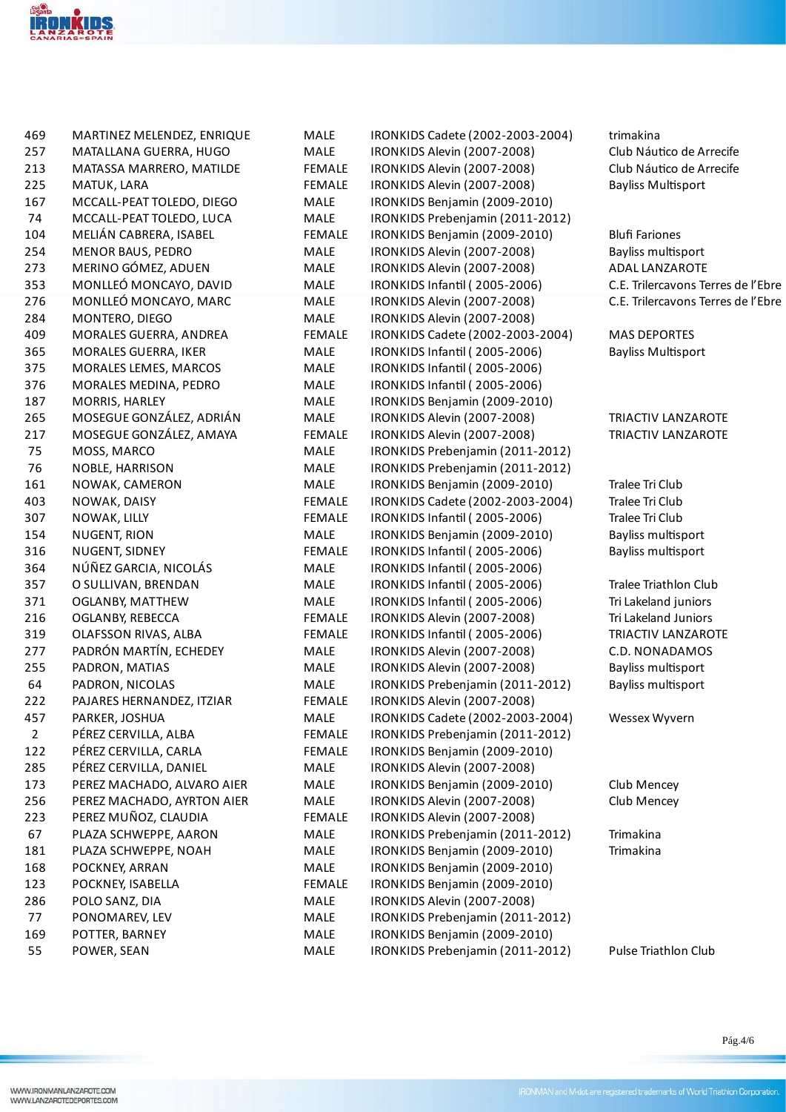

| 469            | MARTINEZ MELENDEZ, ENRIQUE | MALE          | IRONKIDS Cadete (2002-2003-2004) | trimakina                          |
|----------------|----------------------------|---------------|----------------------------------|------------------------------------|
| 257            | MATALLANA GUERRA, HUGO     | MALE          | IRONKIDS Alevin (2007-2008)      | Club Náutico de Arrecife           |
| 213            | MATASSA MARRERO, MATILDE   | <b>FEMALE</b> | IRONKIDS Alevin (2007-2008)      | Club Náutico de Arrecife           |
| 225            | MATUK, LARA                | <b>FEMALE</b> | IRONKIDS Alevin (2007-2008)      | <b>Bayliss Multisport</b>          |
| 167            | MCCALL-PEAT TOLEDO, DIEGO  | MALE          | IRONKIDS Benjamin (2009-2010)    |                                    |
| 74             | MCCALL-PEAT TOLEDO, LUCA   | MALE          | IRONKIDS Prebenjamin (2011-2012) |                                    |
| 104            | MELIÁN CABRERA, ISABEL     | <b>FEMALE</b> | IRONKIDS Benjamin (2009-2010)    | <b>Blufi Fariones</b>              |
| 254            | <b>MENOR BAUS, PEDRO</b>   | MALE          | IRONKIDS Alevin (2007-2008)      | Bayliss multisport                 |
| 273            | MERINO GÓMEZ, ADUEN        | MALE          | IRONKIDS Alevin (2007-2008)      | <b>ADAL LANZAROTE</b>              |
| 353            | MONLLEÓ MONCAYO, DAVID     | MALE          | IRONKIDS Infantil (2005-2006)    | C.E. Trilercavons Terres de l'Ebre |
| 276            | MONLLEÓ MONCAYO, MARC      | MALE          | IRONKIDS Alevin (2007-2008)      | C.E. Trilercavons Terres de l'Ebre |
| 284            | MONTERO, DIEGO             | MALE          | IRONKIDS Alevin (2007-2008)      |                                    |
| 409            | MORALES GUERRA, ANDREA     | <b>FEMALE</b> | IRONKIDS Cadete (2002-2003-2004) | <b>MAS DEPORTES</b>                |
| 365            | MORALES GUERRA, IKER       | MALE          | IRONKIDS Infantil (2005-2006)    | <b>Bayliss Multisport</b>          |
| 375            | MORALES LEMES, MARCOS      | MALE          | IRONKIDS Infantil (2005-2006)    |                                    |
| 376            | MORALES MEDINA, PEDRO      | MALE          | IRONKIDS Infantil (2005-2006)    |                                    |
| 187            | MORRIS, HARLEY             | MALE          | IRONKIDS Benjamin (2009-2010)    |                                    |
| 265            | MOSEGUE GONZÁLEZ, ADRIÁN   | MALE          | IRONKIDS Alevin (2007-2008)      | <b>TRIACTIV LANZAROTE</b>          |
| 217            | MOSEGUE GONZÁLEZ, AMAYA    | <b>FEMALE</b> | IRONKIDS Alevin (2007-2008)      | TRIACTIV LANZAROTE                 |
| 75             | MOSS, MARCO                | MALE          | IRONKIDS Prebenjamin (2011-2012) |                                    |
| 76             | NOBLE, HARRISON            | MALE          | IRONKIDS Prebenjamin (2011-2012) |                                    |
| 161            | NOWAK, CAMERON             | MALE          | IRONKIDS Benjamin (2009-2010)    | Tralee Tri Club                    |
| 403            | NOWAK, DAISY               | <b>FEMALE</b> | IRONKIDS Cadete (2002-2003-2004) | Tralee Tri Club                    |
| 307            | NOWAK, LILLY               | <b>FEMALE</b> | IRONKIDS Infantil (2005-2006)    | Tralee Tri Club                    |
| 154            | <b>NUGENT, RION</b>        | MALE          | IRONKIDS Benjamin (2009-2010)    | Bayliss multisport                 |
| 316            | NUGENT, SIDNEY             | <b>FEMALE</b> | IRONKIDS Infantil (2005-2006)    | Bayliss multisport                 |
| 364            | NÚÑEZ GARCIA, NICOLÁS      | MALE          | IRONKIDS Infantil (2005-2006)    |                                    |
| 357            | O SULLIVAN, BRENDAN        | MALE          | IRONKIDS Infantil (2005-2006)    | Tralee Triathlon Club              |
| 371            | <b>OGLANBY, MATTHEW</b>    | MALE          | IRONKIDS Infantil (2005-2006)    | Tri Lakeland juniors               |
| 216            | <b>OGLANBY, REBECCA</b>    | <b>FEMALE</b> | IRONKIDS Alevin (2007-2008)      | Tri Lakeland Juniors               |
| 319            | OLAFSSON RIVAS, ALBA       | <b>FEMALE</b> | IRONKIDS Infantil (2005-2006)    | TRIACTIV LANZAROTE                 |
| 277            | PADRÓN MARTÍN, ECHEDEY     | MALE          | IRONKIDS Alevin (2007-2008)      | C.D. NONADAMOS                     |
| 255            | PADRON, MATIAS             | MALE          | IRONKIDS Alevin (2007-2008)      | Bayliss multisport                 |
| 64             | PADRON, NICOLAS            | MALE          | IRONKIDS Prebenjamin (2011-2012) | Bayliss multisport                 |
| 222            | PAJARES HERNANDEZ, ITZIAR  | <b>FEMALE</b> | IRONKIDS Alevin (2007-2008)      |                                    |
| 457            | PARKER, JOSHUA             | MALE          | IRONKIDS Cadete (2002-2003-2004) | Wessex Wyvern                      |
| $\overline{2}$ | PÉREZ CERVILLA, ALBA       | FEMALE        | IRONKIDS Prebenjamin (2011-2012) |                                    |
| 122            | PÉREZ CERVILLA, CARLA      | FEMALE        | IRONKIDS Benjamin (2009-2010)    |                                    |
| 285            | PÉREZ CERVILLA, DANIEL     | MALE          | IRONKIDS Alevin (2007-2008)      |                                    |
| 173            | PEREZ MACHADO, ALVARO AIER | MALE          | IRONKIDS Benjamin (2009-2010)    | Club Mencey                        |
| 256            | PEREZ MACHADO, AYRTON AIER | MALE          | IRONKIDS Alevin (2007-2008)      | Club Mencey                        |
| 223            | PEREZ MUÑOZ, CLAUDIA       | <b>FEMALE</b> | IRONKIDS Alevin (2007-2008)      |                                    |
| 67             | PLAZA SCHWEPPE, AARON      | MALE          | IRONKIDS Prebenjamin (2011-2012) | Trimakina                          |
| 181            | PLAZA SCHWEPPE, NOAH       | MALE          | IRONKIDS Benjamin (2009-2010)    | Trimakina                          |
| 168            | POCKNEY, ARRAN             | MALE          | IRONKIDS Benjamin (2009-2010)    |                                    |
| 123            | POCKNEY, ISABELLA          | <b>FEMALE</b> | IRONKIDS Benjamin (2009-2010)    |                                    |
| 286            | POLO SANZ, DIA             | MALE          | IRONKIDS Alevin (2007-2008)      |                                    |
| 77             | PONOMAREV, LEV             | MALE          | IRONKIDS Prebenjamin (2011-2012) |                                    |
| 169            | POTTER, BARNEY             | MALE          | IRONKIDS Benjamin (2009-2010)    |                                    |
| 55             | POWER, SEAN                | MALE          | IRONKIDS Prebenjamin (2011-2012) | Pulse Triathlon Club               |
|                |                            |               |                                  |                                    |

 $\rm P\acute{a}g.4/6$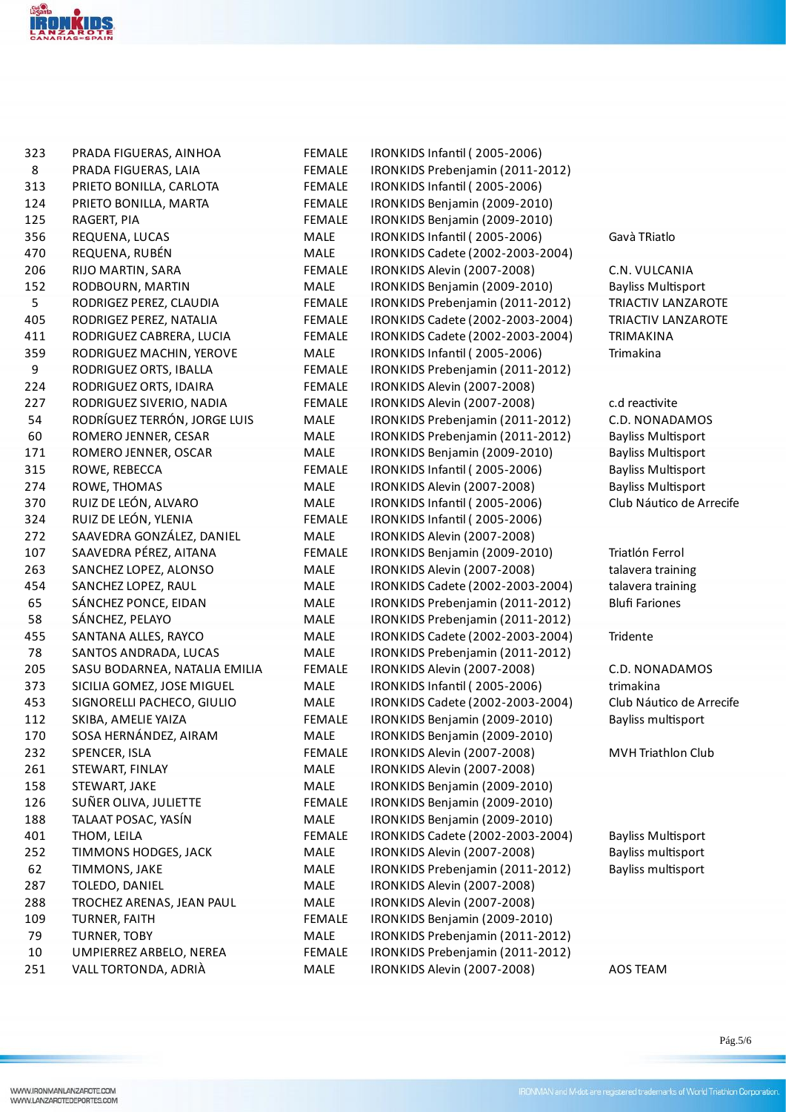

| 323 | PRADA FIGUERAS, AINHOA        | <b>FEMALE</b> | IRONKIDS Infantil (2005-2006)    |                           |
|-----|-------------------------------|---------------|----------------------------------|---------------------------|
| 8   | PRADA FIGUERAS, LAIA          | <b>FEMALE</b> | IRONKIDS Prebenjamin (2011-2012) |                           |
| 313 | PRIETO BONILLA, CARLOTA       | <b>FEMALE</b> | IRONKIDS Infantil (2005-2006)    |                           |
| 124 | PRIETO BONILLA, MARTA         | <b>FEMALE</b> | IRONKIDS Benjamin (2009-2010)    |                           |
| 125 | RAGERT, PIA                   | <b>FEMALE</b> | IRONKIDS Benjamin (2009-2010)    |                           |
| 356 | REQUENA, LUCAS                | MALE          | IRONKIDS Infantil (2005-2006)    | Gavà TRiatlo              |
| 470 | REQUENA, RUBÉN                | MALE          | IRONKIDS Cadete (2002-2003-2004) |                           |
| 206 | RIJO MARTIN, SARA             | <b>FEMALE</b> | IRONKIDS Alevin (2007-2008)      | C.N. VULCANIA             |
| 152 | RODBOURN, MARTIN              | MALE          | IRONKIDS Benjamin (2009-2010)    | <b>Bayliss Multisport</b> |
| 5   | RODRIGEZ PEREZ, CLAUDIA       | <b>FEMALE</b> | IRONKIDS Prebenjamin (2011-2012) | <b>TRIACTIV LANZAROTE</b> |
| 405 | RODRIGEZ PEREZ, NATALIA       | <b>FEMALE</b> | IRONKIDS Cadete (2002-2003-2004) | TRIACTIV LANZAROTE        |
| 411 | RODRIGUEZ CABRERA, LUCIA      | <b>FEMALE</b> | IRONKIDS Cadete (2002-2003-2004) | <b>TRIMAKINA</b>          |
| 359 | RODRIGUEZ MACHIN, YEROVE      | MALE          | IRONKIDS Infantil (2005-2006)    | Trimakina                 |
| 9   | RODRIGUEZ ORTS, IBALLA        | <b>FEMALE</b> | IRONKIDS Prebenjamin (2011-2012) |                           |
| 224 | RODRIGUEZ ORTS, IDAIRA        | <b>FEMALE</b> | IRONKIDS Alevin (2007-2008)      |                           |
| 227 | RODRIGUEZ SIVERIO, NADIA      | <b>FEMALE</b> | IRONKIDS Alevin (2007-2008)      | c.d reactivite            |
| 54  | RODRÍGUEZ TERRÓN, JORGE LUIS  | MALE          | IRONKIDS Prebenjamin (2011-2012) | C.D. NONADAMOS            |
| 60  | ROMERO JENNER, CESAR          | MALE          | IRONKIDS Prebenjamin (2011-2012) | <b>Bayliss Multisport</b> |
| 171 | ROMERO JENNER, OSCAR          | MALE          | IRONKIDS Benjamin (2009-2010)    | <b>Bayliss Multisport</b> |
| 315 | ROWE, REBECCA                 | <b>FEMALE</b> | IRONKIDS Infantil (2005-2006)    | <b>Bayliss Multisport</b> |
| 274 | ROWE, THOMAS                  | MALE          | IRONKIDS Alevin (2007-2008)      | <b>Bayliss Multisport</b> |
| 370 | RUIZ DE LEÓN, ALVARO          | MALE          | IRONKIDS Infantil (2005-2006)    | Club Náutico de Arrecife  |
| 324 | RUIZ DE LEÓN, YLENIA          | <b>FEMALE</b> | IRONKIDS Infantil (2005-2006)    |                           |
| 272 | SAAVEDRA GONZÁLEZ, DANIEL     | MALE          | IRONKIDS Alevin (2007-2008)      |                           |
| 107 | SAAVEDRA PÉREZ, AITANA        | <b>FEMALE</b> | IRONKIDS Benjamin (2009-2010)    | Triatlón Ferrol           |
| 263 | SANCHEZ LOPEZ, ALONSO         | MALE          | IRONKIDS Alevin (2007-2008)      | talavera training         |
| 454 | SANCHEZ LOPEZ, RAUL           | MALE          | IRONKIDS Cadete (2002-2003-2004) | talavera training         |
| 65  | SÁNCHEZ PONCE, EIDAN          | MALE          | IRONKIDS Prebenjamin (2011-2012) | <b>Blufi Fariones</b>     |
| 58  | SÁNCHEZ, PELAYO               | MALE          | IRONKIDS Prebenjamin (2011-2012) |                           |
| 455 | SANTANA ALLES, RAYCO          | MALE          | IRONKIDS Cadete (2002-2003-2004) | Tridente                  |
| 78  | SANTOS ANDRADA, LUCAS         | <b>MALE</b>   | IRONKIDS Prebenjamin (2011-2012) |                           |
| 205 | SASU BODARNEA, NATALIA EMILIA | <b>FEMALE</b> | IRONKIDS Alevin (2007-2008)      | C.D. NONADAMOS            |
| 373 | SICILIA GOMEZ, JOSE MIGUEL    | MALE          | IRONKIDS Infantil (2005-2006)    | trimakina                 |
| 453 | SIGNORELLI PACHECO, GIULIO    | MALE          | IRONKIDS Cadete (2002-2003-2004) | Club Náutico de Arrecife  |
| 112 | SKIBA, AMELIE YAIZA           | <b>FEMALE</b> | IRONKIDS Benjamin (2009-2010)    | Bayliss multisport        |
| 170 | SOSA HERNÁNDEZ, AIRAM         | MALE          | IRONKIDS Benjamin (2009-2010)    |                           |
| 232 | SPENCER, ISLA                 | <b>FEMALE</b> | IRONKIDS Alevin (2007-2008)      | MVH Triathlon Club        |
| 261 | STEWART, FINLAY               | MALE          | IRONKIDS Alevin (2007-2008)      |                           |
| 158 | STEWART, JAKE                 | MALE          | IRONKIDS Benjamin (2009-2010)    |                           |
| 126 | SUÑER OLIVA, JULIETTE         | FEMALE        | IRONKIDS Benjamin (2009-2010)    |                           |
| 188 | TALAAT POSAC, YASÍN           | MALE          | IRONKIDS Benjamin (2009-2010)    |                           |
| 401 | THOM, LEILA                   | <b>FEMALE</b> | IRONKIDS Cadete (2002-2003-2004) | <b>Bayliss Multisport</b> |
| 252 | TIMMONS HODGES, JACK          | MALE          | IRONKIDS Alevin (2007-2008)      | Bayliss multisport        |
| 62  | TIMMONS, JAKE                 | MALE          | IRONKIDS Prebenjamin (2011-2012) | Bayliss multisport        |
| 287 | TOLEDO, DANIEL                | MALE          | IRONKIDS Alevin (2007-2008)      |                           |
| 288 | TROCHEZ ARENAS, JEAN PAUL     | MALE          | IRONKIDS Alevin (2007-2008)      |                           |
| 109 | TURNER, FAITH                 | <b>FEMALE</b> | IRONKIDS Benjamin (2009-2010)    |                           |
| 79  | <b>TURNER, TOBY</b>           | MALE          | IRONKIDS Prebenjamin (2011-2012) |                           |
| 10  | UMPIERREZ ARBELO, NEREA       | <b>FEMALE</b> | IRONKIDS Prebenjamin (2011-2012) |                           |
| 251 | VALL TORTONDA, ADRIÀ          | MALE          | IRONKIDS Alevin (2007-2008)      | AOS TEAM                  |
|     |                               |               |                                  |                           |

Pág.5/6